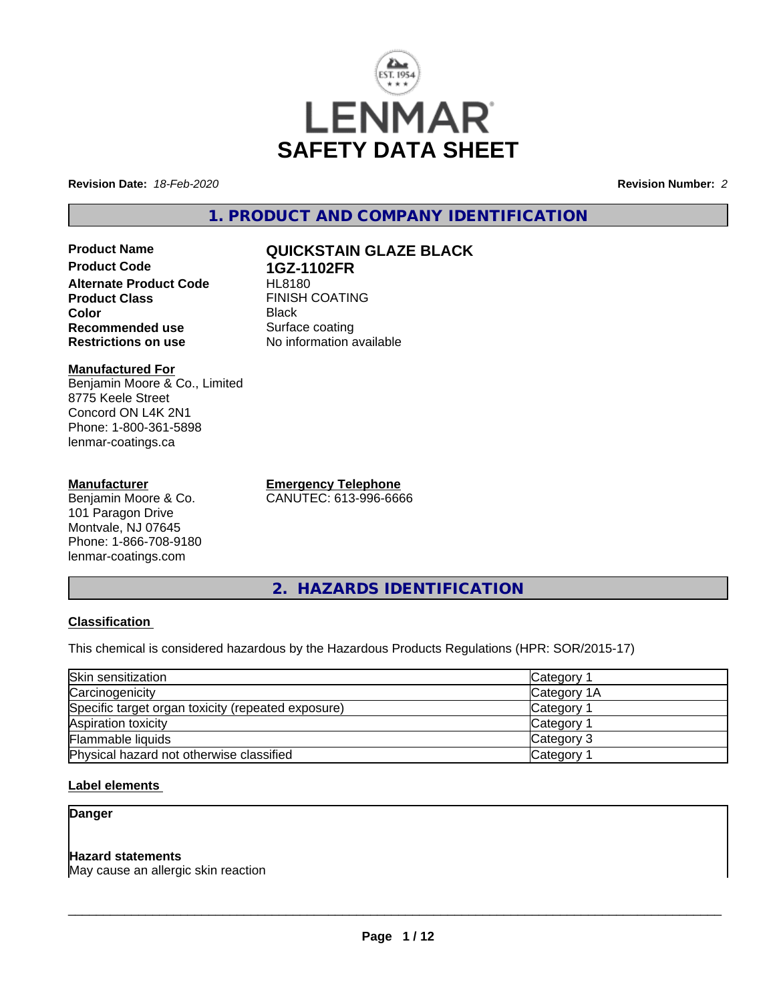

**Revision Date:** *18-Feb-2020* **Revision Number:** *2*

**1. PRODUCT AND COMPANY IDENTIFICATION**

**Product Name QUICKSTAIN GLAZE BLACK Product Code 1GZ-1102FR Alternate Product Code Product Class FINISH COATING Color** Black **Recommended use** Surface coating<br> **Restrictions on use** No information and No

**Manufactured For** Benjamin Moore & Co., Limited 8775 Keele Street Concord ON L4K 2N1 Phone: 1-800-361-5898 lenmar-coatings.ca

## **Manufacturer**

Benjamin Moore & Co. 101 Paragon Drive Montvale, NJ 07645 Phone: 1-866-708-9180 lenmar-coatings.com

**Emergency Telephone** CANUTEC: 613-996-6666

**No information available** 

**2. HAZARDS IDENTIFICATION**

# **Classification**

This chemical is considered hazardous by the Hazardous Products Regulations (HPR: SOR/2015-17)

| Skin sensitization                                 | Category 1            |  |
|----------------------------------------------------|-----------------------|--|
| Carcinogenicity                                    | Category 1A           |  |
| Specific target organ toxicity (repeated exposure) | Category <sup>2</sup> |  |
| Aspiration toxicity                                | Category 1            |  |
| Flammable liquids                                  | Category 3            |  |
| Physical hazard not otherwise classified           | Category <sup>2</sup> |  |

# **Label elements**

# **Danger**

# **Hazard statements**

May cause an allergic skin reaction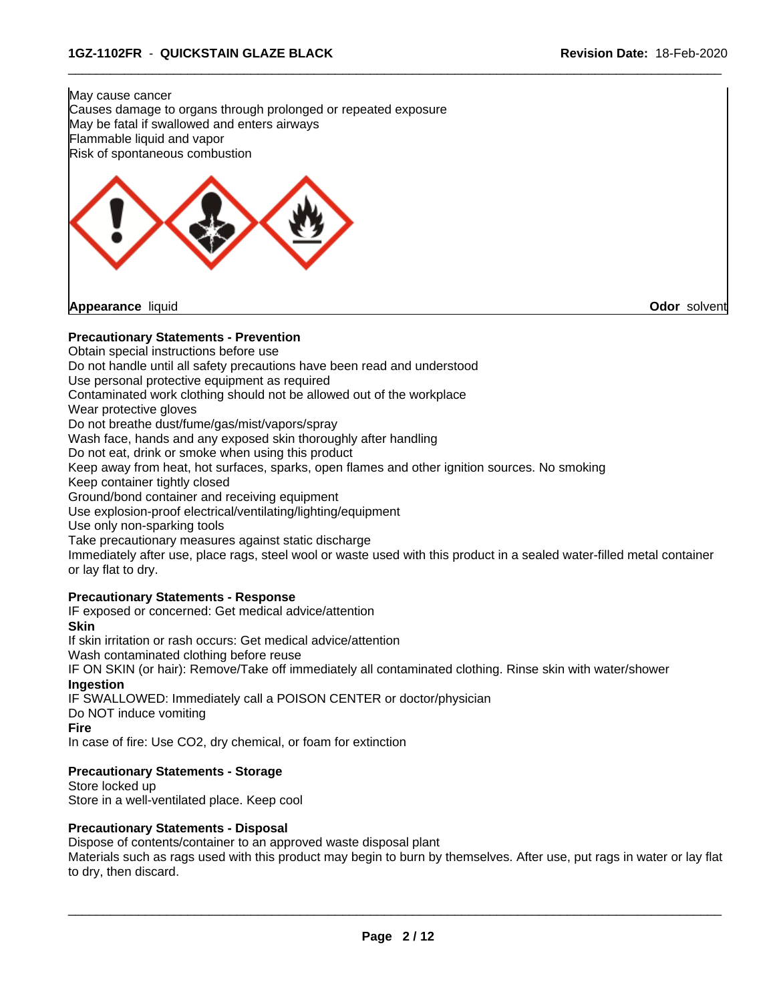May cause cancer Causes damage to organs through prolonged or repeated exposure May be fatal if swallowed and enters airways Flammable liquid and vapor Risk of spontaneous combustion



## **Precautionary Statements - Prevention**

Obtain special instructions before use

Do not handle until all safety precautions have been read and understood

Use personal protective equipment as required

Contaminated work clothing should not be allowed out of the workplace

Wear protective gloves

Do not breathe dust/fume/gas/mist/vapors/spray

Wash face, hands and any exposed skin thoroughly after handling

Do not eat, drink or smoke when using this product

Keep away from heat, hot surfaces, sparks, open flames and other ignition sources. No smoking

Keep container tightly closed

Ground/bond container and receiving equipment

Use explosion-proof electrical/ventilating/lighting/equipment

Use only non-sparking tools

Take precautionary measures against static discharge

Immediately after use, place rags, steel wool or waste used with this product in a sealed water-filled metal container or lay flat to dry.

 $\overline{\phantom{a}}$  ,  $\overline{\phantom{a}}$  ,  $\overline{\phantom{a}}$  ,  $\overline{\phantom{a}}$  ,  $\overline{\phantom{a}}$  ,  $\overline{\phantom{a}}$  ,  $\overline{\phantom{a}}$  ,  $\overline{\phantom{a}}$  ,  $\overline{\phantom{a}}$  ,  $\overline{\phantom{a}}$  ,  $\overline{\phantom{a}}$  ,  $\overline{\phantom{a}}$  ,  $\overline{\phantom{a}}$  ,  $\overline{\phantom{a}}$  ,  $\overline{\phantom{a}}$  ,  $\overline{\phantom{a}}$ 

#### **Precautionary Statements - Response**

IF exposed or concerned: Get medical advice/attention

**Skin**

If skin irritation or rash occurs: Get medical advice/attention

Wash contaminated clothing before reuse

IF ON SKIN (or hair): Remove/Take off immediately all contaminated clothing. Rinse skin with water/shower **Ingestion**

IF SWALLOWED: Immediately call a POISON CENTER or doctor/physician

Do NOT induce vomiting

**Fire**

In case of fire: Use CO2, dry chemical, or foam for extinction

#### **Precautionary Statements - Storage**

Store locked up Store in a well-ventilated place. Keep cool

#### **Precautionary Statements - Disposal**

Dispose of contents/container to an approved waste disposal plant

Materials such as rags used with this product may begin to burn by themselves. After use, put rags in water or lay flat to dry, then discard.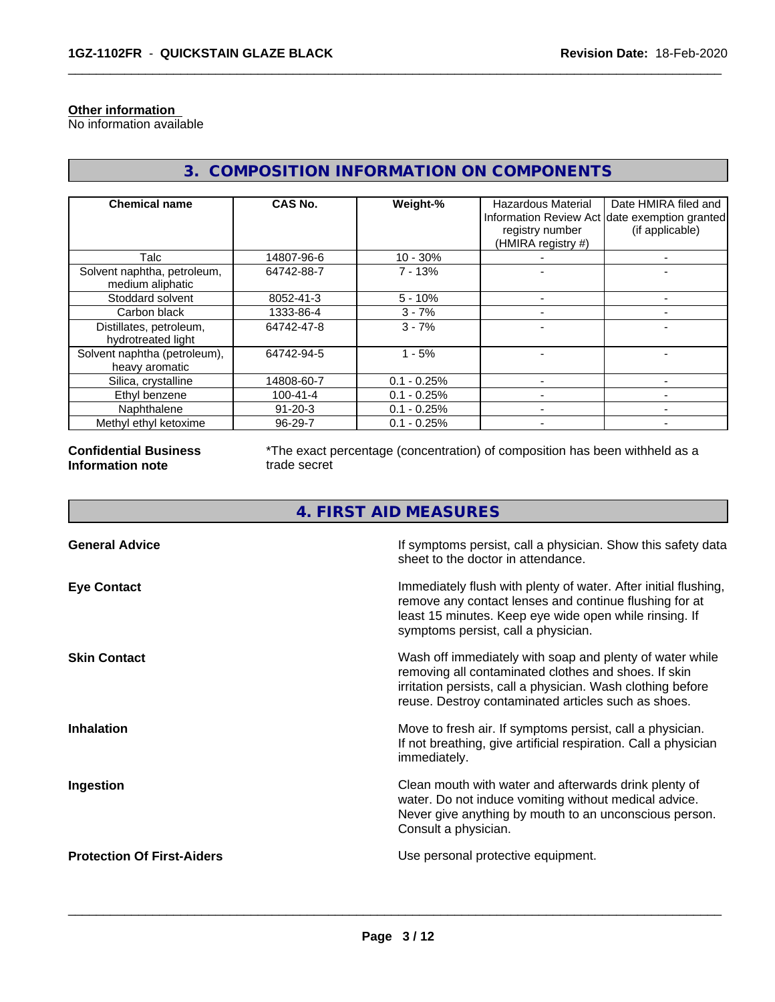## **Other information**

No information available

# **3. COMPOSITION INFORMATION ON COMPONENTS**

 $\overline{\phantom{a}}$  ,  $\overline{\phantom{a}}$  ,  $\overline{\phantom{a}}$  ,  $\overline{\phantom{a}}$  ,  $\overline{\phantom{a}}$  ,  $\overline{\phantom{a}}$  ,  $\overline{\phantom{a}}$  ,  $\overline{\phantom{a}}$  ,  $\overline{\phantom{a}}$  ,  $\overline{\phantom{a}}$  ,  $\overline{\phantom{a}}$  ,  $\overline{\phantom{a}}$  ,  $\overline{\phantom{a}}$  ,  $\overline{\phantom{a}}$  ,  $\overline{\phantom{a}}$  ,  $\overline{\phantom{a}}$ 

| <b>Chemical name</b>                            | CAS No.        | Weight-%      | Hazardous Material<br>registry number<br>(HMIRA registry #) | Date HMIRA filed and<br>Information Review Act date exemption granted<br>(if applicable) |
|-------------------------------------------------|----------------|---------------|-------------------------------------------------------------|------------------------------------------------------------------------------------------|
| Talc                                            | 14807-96-6     | $10 - 30%$    |                                                             |                                                                                          |
| Solvent naphtha, petroleum,<br>medium aliphatic | 64742-88-7     | $7 - 13%$     |                                                             |                                                                                          |
| Stoddard solvent                                | 8052-41-3      | $5 - 10%$     |                                                             |                                                                                          |
| Carbon black                                    | 1333-86-4      | $3 - 7%$      |                                                             |                                                                                          |
| Distillates, petroleum,<br>hydrotreated light   | 64742-47-8     | $3 - 7%$      |                                                             |                                                                                          |
| Solvent naphtha (petroleum),<br>heavy aromatic  | 64742-94-5     | $1 - 5%$      |                                                             |                                                                                          |
| Silica, crystalline                             | 14808-60-7     | $0.1 - 0.25%$ |                                                             |                                                                                          |
| Ethyl benzene                                   | $100 - 41 - 4$ | $0.1 - 0.25%$ |                                                             |                                                                                          |
| Naphthalene                                     | $91 - 20 - 3$  | $0.1 - 0.25%$ |                                                             |                                                                                          |
| Methyl ethyl ketoxime                           | 96-29-7        | $0.1 - 0.25%$ |                                                             |                                                                                          |

#### **Confidential Business Information note**

\*The exact percentage (concentration) of composition has been withheld as a trade secret

# **4. FIRST AID MEASURES**

| <b>General Advice</b>             | If symptoms persist, call a physician. Show this safety data<br>sheet to the doctor in attendance.                                                                                                                                     |
|-----------------------------------|----------------------------------------------------------------------------------------------------------------------------------------------------------------------------------------------------------------------------------------|
| <b>Eye Contact</b>                | Immediately flush with plenty of water. After initial flushing,<br>remove any contact lenses and continue flushing for at<br>least 15 minutes. Keep eye wide open while rinsing. If<br>symptoms persist, call a physician.             |
| <b>Skin Contact</b>               | Wash off immediately with soap and plenty of water while<br>removing all contaminated clothes and shoes. If skin<br>irritation persists, call a physician. Wash clothing before<br>reuse. Destroy contaminated articles such as shoes. |
| <b>Inhalation</b>                 | Move to fresh air. If symptoms persist, call a physician.<br>If not breathing, give artificial respiration. Call a physician<br>immediately.                                                                                           |
| Ingestion                         | Clean mouth with water and afterwards drink plenty of<br>water. Do not induce vomiting without medical advice.<br>Never give anything by mouth to an unconscious person.<br>Consult a physician.                                       |
| <b>Protection Of First-Aiders</b> | Use personal protective equipment.                                                                                                                                                                                                     |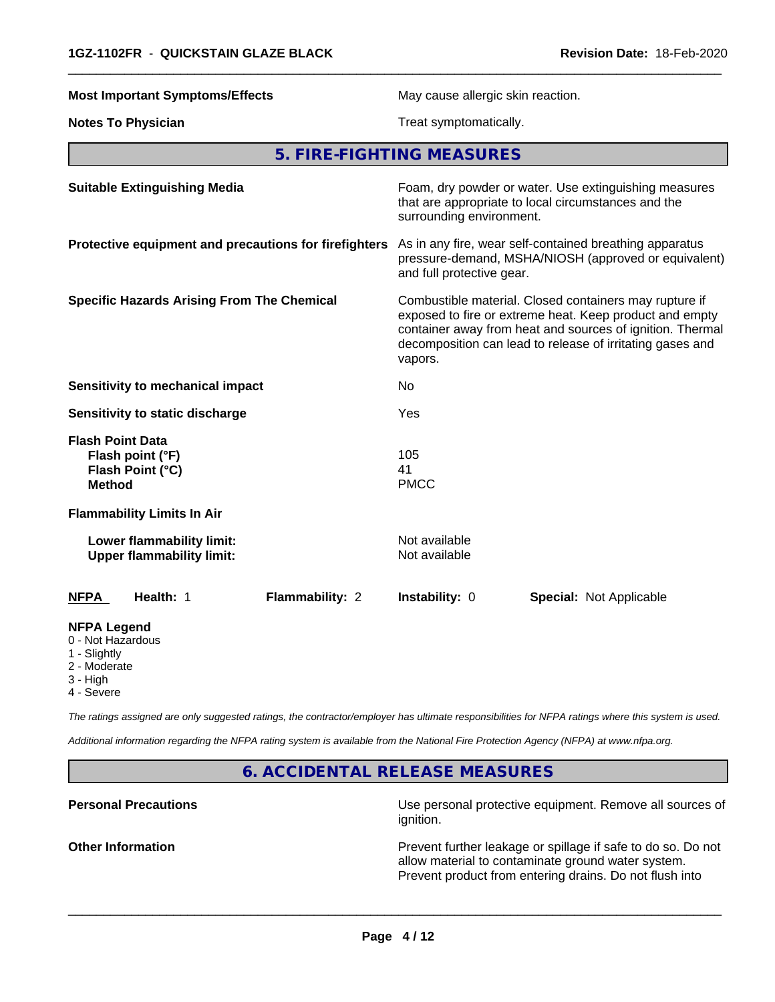**Most Important Symptoms/Effects** May cause allergic skin reaction. **Notes To Physician** Treat symptomatically. **5. FIRE-FIGHTING MEASURES Suitable Extinguishing Media** Foam, dry powder or water. Use extinguishing measures that are appropriate to local circumstances and the surrounding environment. **Protective equipment and precautions for firefighters** As in any fire, wear self-contained breathing apparatus pressure-demand, MSHA/NIOSH (approved or equivalent) and full protective gear. **Specific Hazards Arising From The Chemical** Combustible material. Closed containers may rupture if exposed to fire or extreme heat. Keep product and empty container away from heat and sources of ignition. Thermal decomposition can lead to release of irritating gases and vapors. **Sensitivity to mechanical impact** No **Sensitivity to static discharge** Yes **Flash Point Data Flash point (°F)** 105 **Flash Point (°C)** 41 **Method** PMCC **Flammability Limits In Air Lower flammability limit:** Not available **Upper flammability limit:** Not available **NFPA Health:** 1 **Flammability:** 2 **Instability:** 0 **Special:** Not Applicable **NFPA Legend** 0 - Not Hazardous 1 - Slightly 2 - Moderate 3 - High

 $\overline{\phantom{a}}$  ,  $\overline{\phantom{a}}$  ,  $\overline{\phantom{a}}$  ,  $\overline{\phantom{a}}$  ,  $\overline{\phantom{a}}$  ,  $\overline{\phantom{a}}$  ,  $\overline{\phantom{a}}$  ,  $\overline{\phantom{a}}$  ,  $\overline{\phantom{a}}$  ,  $\overline{\phantom{a}}$  ,  $\overline{\phantom{a}}$  ,  $\overline{\phantom{a}}$  ,  $\overline{\phantom{a}}$  ,  $\overline{\phantom{a}}$  ,  $\overline{\phantom{a}}$  ,  $\overline{\phantom{a}}$ 

4 - Severe

*The ratings assigned are only suggested ratings, the contractor/employer has ultimate responsibilities for NFPA ratings where this system is used.*

*Additional information regarding the NFPA rating system is available from the National Fire Protection Agency (NFPA) at www.nfpa.org.*

**6. ACCIDENTAL RELEASE MEASURES**

**Personal Precautions Personal protective equipment. Remove all sources of** Use personal protective equipment. Remove all sources of ignition.

**Other Information Discription** Prevent further leakage or spillage if safe to do so. Do not allow material to contaminate ground water system. Prevent product from entering drains. Do not flush into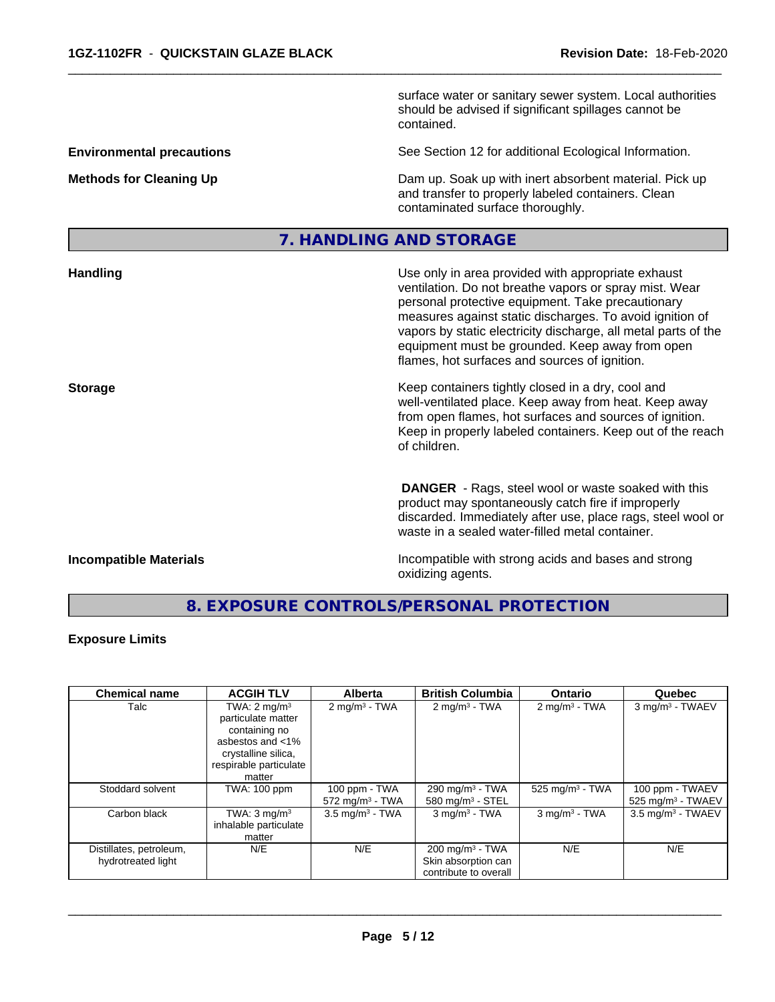|                                  | surface water or sanitary sewer system. Local authorities<br>should be advised if significant spillages cannot be<br>contained.                                                                                                                                                                                                                                                                     |
|----------------------------------|-----------------------------------------------------------------------------------------------------------------------------------------------------------------------------------------------------------------------------------------------------------------------------------------------------------------------------------------------------------------------------------------------------|
| <b>Environmental precautions</b> | See Section 12 for additional Ecological Information.                                                                                                                                                                                                                                                                                                                                               |
| <b>Methods for Cleaning Up</b>   | Dam up. Soak up with inert absorbent material. Pick up<br>and transfer to properly labeled containers. Clean<br>contaminated surface thoroughly.                                                                                                                                                                                                                                                    |
|                                  | 7. HANDLING AND STORAGE                                                                                                                                                                                                                                                                                                                                                                             |
| <b>Handling</b>                  | Use only in area provided with appropriate exhaust<br>ventilation. Do not breathe vapors or spray mist. Wear<br>personal protective equipment. Take precautionary<br>measures against static discharges. To avoid ignition of<br>vapors by static electricity discharge, all metal parts of the<br>equipment must be grounded. Keep away from open<br>flames, hot surfaces and sources of ignition. |
| <b>Storage</b>                   | Keep containers tightly closed in a dry, cool and<br>well-ventilated place. Keep away from heat. Keep away<br>from open flames, hot surfaces and sources of ignition.<br>Keep in properly labeled containers. Keep out of the reach<br>of children.                                                                                                                                                 |
|                                  | <b>DANGER</b> - Rags, steel wool or waste soaked with this<br>product may spontaneously catch fire if improperly<br>discarded. Immediately after use, place rags, steel wool or<br>waste in a sealed water-filled metal container.                                                                                                                                                                  |

 $\overline{\phantom{a}}$  ,  $\overline{\phantom{a}}$  ,  $\overline{\phantom{a}}$  ,  $\overline{\phantom{a}}$  ,  $\overline{\phantom{a}}$  ,  $\overline{\phantom{a}}$  ,  $\overline{\phantom{a}}$  ,  $\overline{\phantom{a}}$  ,  $\overline{\phantom{a}}$  ,  $\overline{\phantom{a}}$  ,  $\overline{\phantom{a}}$  ,  $\overline{\phantom{a}}$  ,  $\overline{\phantom{a}}$  ,  $\overline{\phantom{a}}$  ,  $\overline{\phantom{a}}$  ,  $\overline{\phantom{a}}$ 

**Incompatible Materials Incompatible Materials Incompatible with strong acids and bases and strong** oxidizing agents.

# **8. EXPOSURE CONTROLS/PERSONAL PROTECTION**

## **Exposure Limits**

| <b>Chemical name</b>    | <b>ACGIH TLV</b>        | <b>Alberta</b>             | <b>British Columbia</b>     | <b>Ontario</b>           | Quebec                          |
|-------------------------|-------------------------|----------------------------|-----------------------------|--------------------------|---------------------------------|
| Talc                    | TWA: $2 \text{ mg/m}^3$ | $2 \text{ mg/m}^3$ - TWA   | $2 \text{mq/m}^3$ - TWA     | $2 \text{ mg/m}^3$ - TWA | 3 mg/m <sup>3</sup> - TWAEV     |
|                         | particulate matter      |                            |                             |                          |                                 |
|                         | containing no           |                            |                             |                          |                                 |
|                         | asbestos and <1%        |                            |                             |                          |                                 |
|                         | crystalline silica,     |                            |                             |                          |                                 |
|                         | respirable particulate  |                            |                             |                          |                                 |
|                         | matter                  |                            |                             |                          |                                 |
| Stoddard solvent        | TWA: 100 ppm            | 100 ppm - TWA              | 290 mg/m $3$ - TWA          | 525 mg/m $3$ - TWA       | 100 ppm - TWAEV                 |
|                         |                         | $572 \text{ mg/m}^3$ - TWA | 580 mg/m $3 -$ STEL         |                          | $525$ mg/m <sup>3</sup> - TWAEV |
| Carbon black            | TWA: $3 \text{ mg/m}^3$ | $3.5 \text{ mg/m}^3$ - TWA | $3$ mg/m <sup>3</sup> - TWA | $3$ mg/m $3$ - TWA       | $3.5 \text{ mg/m}^3$ - TWAEV    |
|                         | inhalable particulate   |                            |                             |                          |                                 |
|                         | matter                  |                            |                             |                          |                                 |
| Distillates, petroleum, | N/E                     | N/E                        | $200 \text{ mg/m}^3$ - TWA  | N/E                      | N/E                             |
| hydrotreated light      |                         |                            | Skin absorption can         |                          |                                 |
|                         |                         |                            | contribute to overall       |                          |                                 |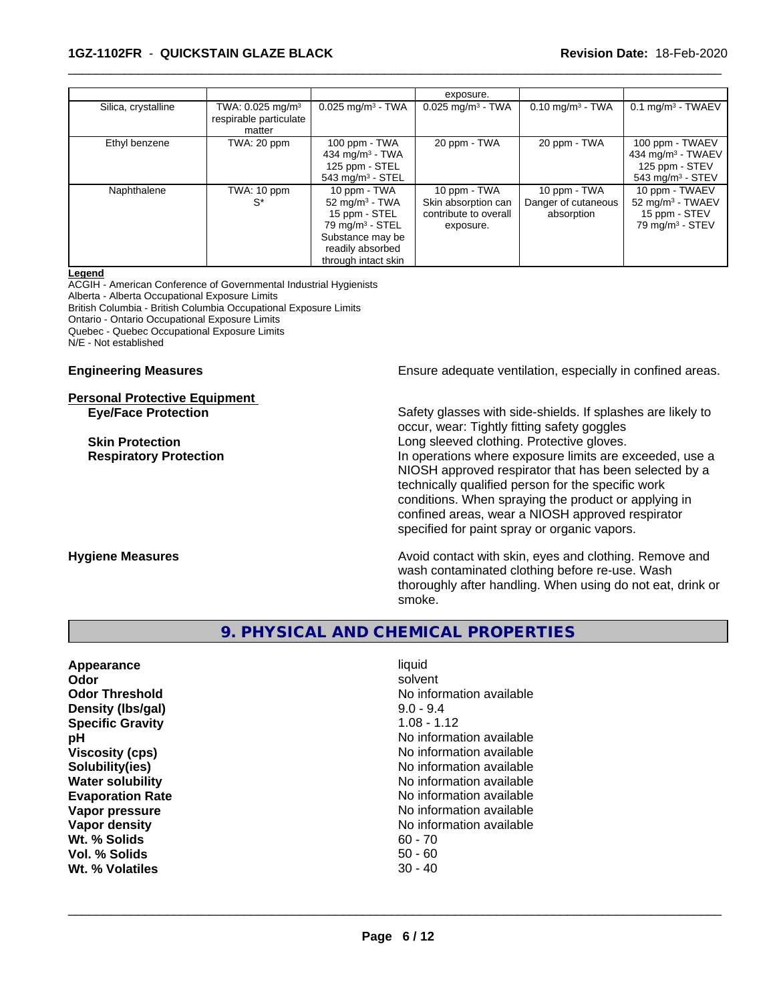## **1GZ-1102FR** - **QUICKSTAIN GLAZE BLACK Revision Date:** 18-Feb-2020

|                     |                                                                    |                                                                                                                                                    | exposure.                                                                 |                                                   |                                                                                                    |
|---------------------|--------------------------------------------------------------------|----------------------------------------------------------------------------------------------------------------------------------------------------|---------------------------------------------------------------------------|---------------------------------------------------|----------------------------------------------------------------------------------------------------|
| Silica, crystalline | TWA: $0.025$ mg/m <sup>3</sup><br>respirable particulate<br>matter | $0.025$ mg/m <sup>3</sup> - TWA                                                                                                                    | $0.025$ mg/m <sup>3</sup> - TWA                                           | $0.10$ mg/m <sup>3</sup> - TWA                    | $0.1$ mg/m <sup>3</sup> - TWAEV                                                                    |
| Ethyl benzene       | TWA: 20 ppm                                                        | 100 ppm - TWA<br>434 mg/m <sup>3</sup> - TWA<br>125 ppm - STEL<br>543 mg/m $3 -$ STEL                                                              | 20 ppm - TWA                                                              | 20 ppm - TWA                                      | 100 ppm - TWAEV<br>434 mg/m <sup>3</sup> - TWAEV<br>125 ppm - STEV<br>543 mg/m <sup>3</sup> - STEV |
| Naphthalene         | TWA: 10 ppm<br>$S^*$                                               | 10 ppm - TWA<br>52 mg/m $3$ - TWA<br>15 ppm - STEL<br>$79$ mg/m <sup>3</sup> - STEL<br>Substance may be<br>readily absorbed<br>through intact skin | 10 ppm - TWA<br>Skin absorption can<br>contribute to overall<br>exposure. | 10 ppm - TWA<br>Danger of cutaneous<br>absorption | 10 ppm - TWAEV<br>52 mg/m <sup>3</sup> - TWAEV<br>15 ppm - STEV<br>79 mg/m <sup>3</sup> - STEV     |

 $\overline{\phantom{a}}$  ,  $\overline{\phantom{a}}$  ,  $\overline{\phantom{a}}$  ,  $\overline{\phantom{a}}$  ,  $\overline{\phantom{a}}$  ,  $\overline{\phantom{a}}$  ,  $\overline{\phantom{a}}$  ,  $\overline{\phantom{a}}$  ,  $\overline{\phantom{a}}$  ,  $\overline{\phantom{a}}$  ,  $\overline{\phantom{a}}$  ,  $\overline{\phantom{a}}$  ,  $\overline{\phantom{a}}$  ,  $\overline{\phantom{a}}$  ,  $\overline{\phantom{a}}$  ,  $\overline{\phantom{a}}$ 

#### **Legend**

ACGIH - American Conference of Governmental Industrial Hygienists Alberta - Alberta Occupational Exposure Limits British Columbia - British Columbia Occupational Exposure Limits Ontario - Ontario Occupational Exposure Limits Quebec - Quebec Occupational Exposure Limits N/E - Not established

# **Personal Protective Equipment**

**Engineering Measures Ensure** Ensure adequate ventilation, especially in confined areas.

**Eye/Face Protection** Safety glasses with side-shields. If splashes are likely to occur, wear: Tightly fitting safety goggles **Skin Protection Skin Protection Constant Constant Constant Long sleeved clothing. Protective gloves. Respiratory Protection In operations where exposure limits are exceeded, use a** NIOSH approved respirator that has been selected by a technically qualified person for the specific work conditions. When spraying the product or applying in confined areas, wear a NIOSH approved respirator specified for paint spray or organic vapors.

**Hygiene Measures Avoid contact with skin, eyes and clothing. Remove and Avoid contact with skin, eyes and clothing. Remove and Avoid contact with skin, eyes and clothing. Remove and** wash contaminated clothing before re-use. Wash thoroughly after handling. When using do not eat, drink or smoke.

# **9. PHYSICAL AND CHEMICAL PROPERTIES**

| liquid<br>solvent<br>No information available<br>$9.0 - 9.4$<br>$1.08 - 1.12$<br>No information available<br>No information available<br>No information available<br>No information available<br>No information available<br>No information available<br>No information available<br>$60 - 70$ |
|------------------------------------------------------------------------------------------------------------------------------------------------------------------------------------------------------------------------------------------------------------------------------------------------|
| $50 - 60$<br>$30 - 40$                                                                                                                                                                                                                                                                         |
|                                                                                                                                                                                                                                                                                                |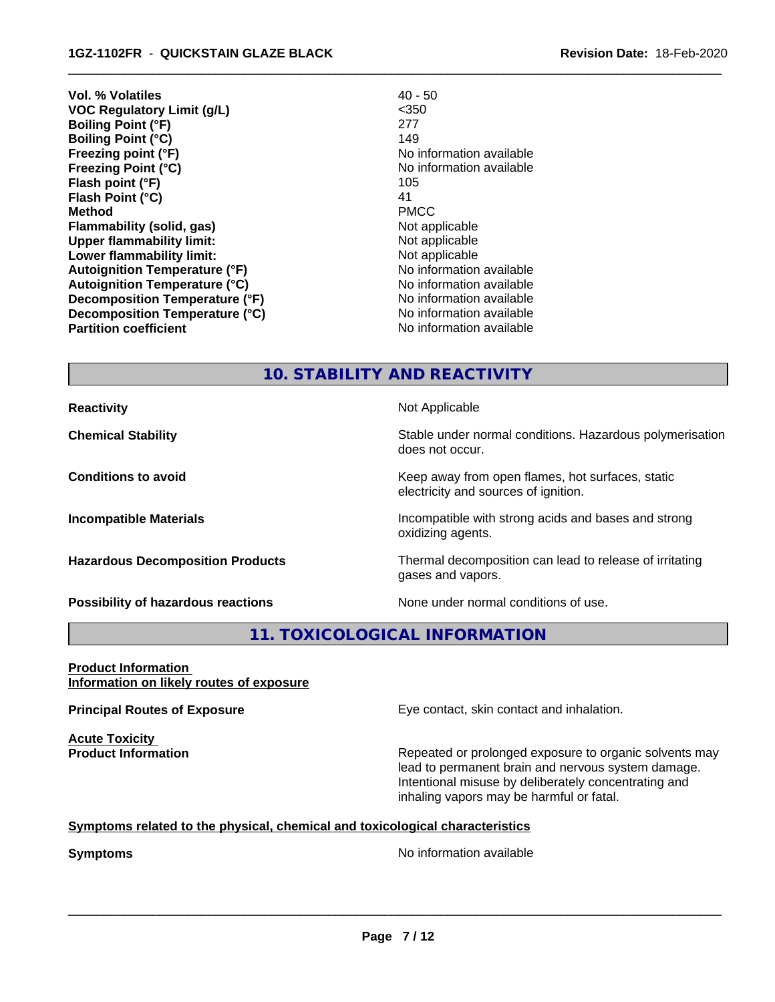- **Vol. % Volatiles** 40 50 **VOC Regulatory Limit (g/L)** <350 **Boiling Point (°F)** 277 **Boiling Point (°C)** 149 **Freezing point (°F)** No information available **Freezing Point (°C)** The Control of the Monometer of Noinformation available **Flash point (°F)** 105 **Flash Point (°C)** 41 **Method** PMCC **Flammability (solid, gas)** Not applicable **Upper flammability limit:** Not applicable **Lower flammability limit:** Not applicable **Autoignition Temperature (°F)** No information available **Autoignition Temperature (°C)**<br> **Decomposition Temperature (°F)** No information available **Decomposition Temperature (°F) Decomposition Temperature (°C)** No information available **Partition coefficient Contract Contract Contract Contract Contract Contract Contract Contract Contract Contract Contract Contract Contract Contract Contract Contract Contract Contract Contract Contract Contract Contract** 
	-

 $\overline{\phantom{a}}$  ,  $\overline{\phantom{a}}$  ,  $\overline{\phantom{a}}$  ,  $\overline{\phantom{a}}$  ,  $\overline{\phantom{a}}$  ,  $\overline{\phantom{a}}$  ,  $\overline{\phantom{a}}$  ,  $\overline{\phantom{a}}$  ,  $\overline{\phantom{a}}$  ,  $\overline{\phantom{a}}$  ,  $\overline{\phantom{a}}$  ,  $\overline{\phantom{a}}$  ,  $\overline{\phantom{a}}$  ,  $\overline{\phantom{a}}$  ,  $\overline{\phantom{a}}$  ,  $\overline{\phantom{a}}$ 

# **10. STABILITY AND REACTIVITY**

**Reactivity Not Applicable Not Applicable** 

**Chemical Stability Stability** Stable under normal conditions. Hazardous polymerisation does not occur.

**Conditions to avoid Keep away from open flames, hot surfaces, static conditions to avoid** electricity and sources of ignition.

**Incompatible Materials Incompatible with strong acids and bases and strong** oxidizing agents.

**Hazardous Decomposition Products** Thermal decomposition can lead to release of irritating gases and vapors.

**Possibility of hazardous reactions** None under normal conditions of use.

# **11. TOXICOLOGICAL INFORMATION**

**Product Information Information on likely routes of exposure**

**Acute Toxicity** 

**Principal Routes of Exposure Exposure** Eye contact, skin contact and inhalation.

**Product Information Repeated or prolonged exposure to organic solvents may** lead to permanent brain and nervous system damage. Intentional misuse by deliberately concentrating and inhaling vapors may be harmful or fatal.

#### **Symptoms related to the physical,chemical and toxicological characteristics**

**Symptoms** No information available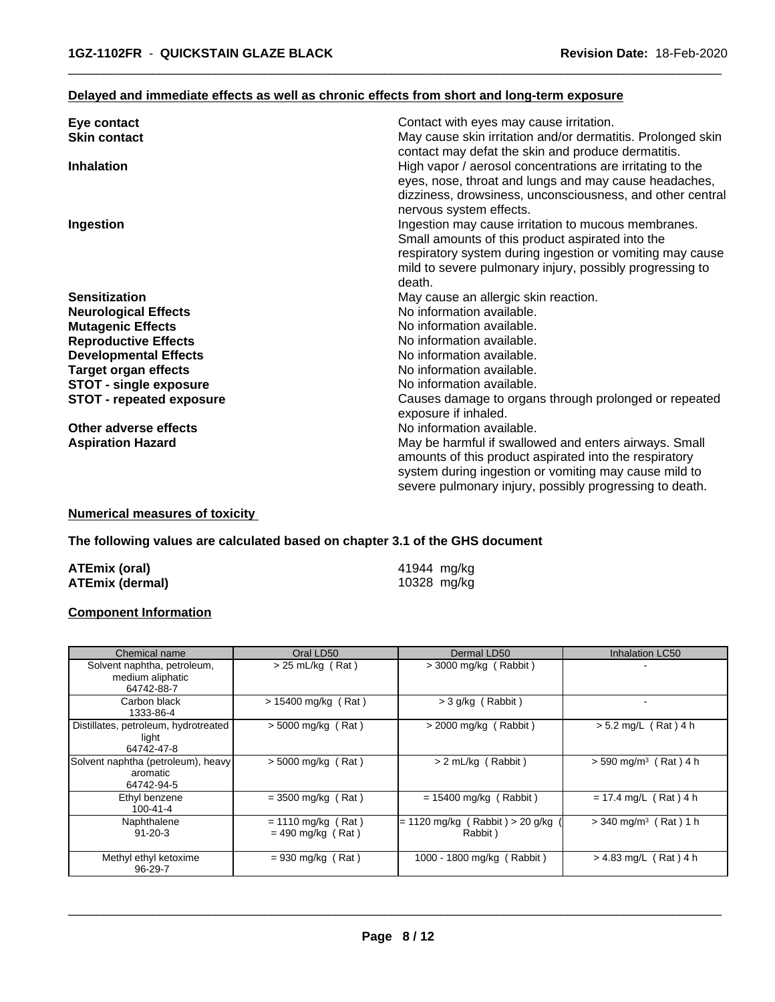## **Delayed and immediate effects as well as chronic effects from short and long-term exposure**

| Eye contact                     | Contact with eyes may cause irritation.                     |
|---------------------------------|-------------------------------------------------------------|
| <b>Skin contact</b>             | May cause skin irritation and/or dermatitis. Prolonged skin |
|                                 | contact may defat the skin and produce dermatitis.          |
| <b>Inhalation</b>               | High vapor / aerosol concentrations are irritating to the   |
|                                 | eyes, nose, throat and lungs and may cause headaches,       |
|                                 | dizziness, drowsiness, unconsciousness, and other central   |
|                                 | nervous system effects.                                     |
| Ingestion                       | Ingestion may cause irritation to mucous membranes.         |
|                                 | Small amounts of this product aspirated into the            |
|                                 | respiratory system during ingestion or vomiting may cause   |
|                                 | mild to severe pulmonary injury, possibly progressing to    |
|                                 | death.                                                      |
| <b>Sensitization</b>            | May cause an allergic skin reaction.                        |
| <b>Neurological Effects</b>     | No information available.                                   |
| <b>Mutagenic Effects</b>        | No information available.                                   |
| <b>Reproductive Effects</b>     | No information available.                                   |
| <b>Developmental Effects</b>    | No information available.                                   |
| <b>Target organ effects</b>     | No information available.                                   |
| <b>STOT - single exposure</b>   | No information available.                                   |
| <b>STOT - repeated exposure</b> | Causes damage to organs through prolonged or repeated       |
|                                 | exposure if inhaled.                                        |
| Other adverse effects           | No information available.                                   |
| <b>Aspiration Hazard</b>        | May be harmful if swallowed and enters airways. Small       |
|                                 | amounts of this product aspirated into the respiratory      |
|                                 | system during ingestion or vomiting may cause mild to       |
|                                 | severe pulmonary injury, possibly progressing to death.     |

 $\overline{\phantom{a}}$  ,  $\overline{\phantom{a}}$  ,  $\overline{\phantom{a}}$  ,  $\overline{\phantom{a}}$  ,  $\overline{\phantom{a}}$  ,  $\overline{\phantom{a}}$  ,  $\overline{\phantom{a}}$  ,  $\overline{\phantom{a}}$  ,  $\overline{\phantom{a}}$  ,  $\overline{\phantom{a}}$  ,  $\overline{\phantom{a}}$  ,  $\overline{\phantom{a}}$  ,  $\overline{\phantom{a}}$  ,  $\overline{\phantom{a}}$  ,  $\overline{\phantom{a}}$  ,  $\overline{\phantom{a}}$ 

## **Numerical measures of toxicity**

## **The following values are calculated based on chapter 3.1 of the GHS document**

| ATEmix (oral)          | 41944 mg/kg |
|------------------------|-------------|
| <b>ATEmix (dermal)</b> | 10328 mg/kg |

# **Component Information**

| Chemical name                                                 | Oral LD50                                   | Dermal LD50                                  | Inhalation LC50                          |
|---------------------------------------------------------------|---------------------------------------------|----------------------------------------------|------------------------------------------|
| Solvent naphtha, petroleum,<br>medium aliphatic<br>64742-88-7 | $> 25$ mL/kg (Rat)                          | $>$ 3000 mg/kg (Rabbit)                      |                                          |
| Carbon black<br>1333-86-4                                     | > 15400 mg/kg (Rat)                         | $>$ 3 g/kg (Rabbit)                          | $\overline{\phantom{a}}$                 |
| Distillates, petroleum, hydrotreated<br>light<br>64742-47-8   | $>$ 5000 mg/kg (Rat)                        | $>$ 2000 mg/kg (Rabbit)                      | $> 5.2$ mg/L (Rat) 4 h                   |
| Solvent naphtha (petroleum), heavy<br>aromatic<br>64742-94-5  | > 5000 mg/kg (Rat)                          | > 2 mL/kg (Rabbit)                           | $> 590$ mg/m <sup>3</sup> (<br>(Rat) 4 h |
| Ethyl benzene<br>100-41-4                                     | $=$ 3500 mg/kg (Rat)                        | $= 15400$ mg/kg (Rabbit)                     | $= 17.4$ mg/L (Rat) 4 h                  |
| Naphthalene<br>$91 - 20 - 3$                                  | $= 1110$ mg/kg (Rat)<br>$= 490$ mg/kg (Rat) | $= 1120$ mg/kg (Rabbit) > 20 g/kg<br>Rabbit) | $>$ 340 mg/m <sup>3</sup> (Rat) 1 h      |
| Methyl ethyl ketoxime<br>96-29-7                              | $= 930$ mg/kg (Rat)                         | 1000 - 1800 mg/kg (Rabbit)                   | $> 4.83$ mg/L (Rat) 4 h                  |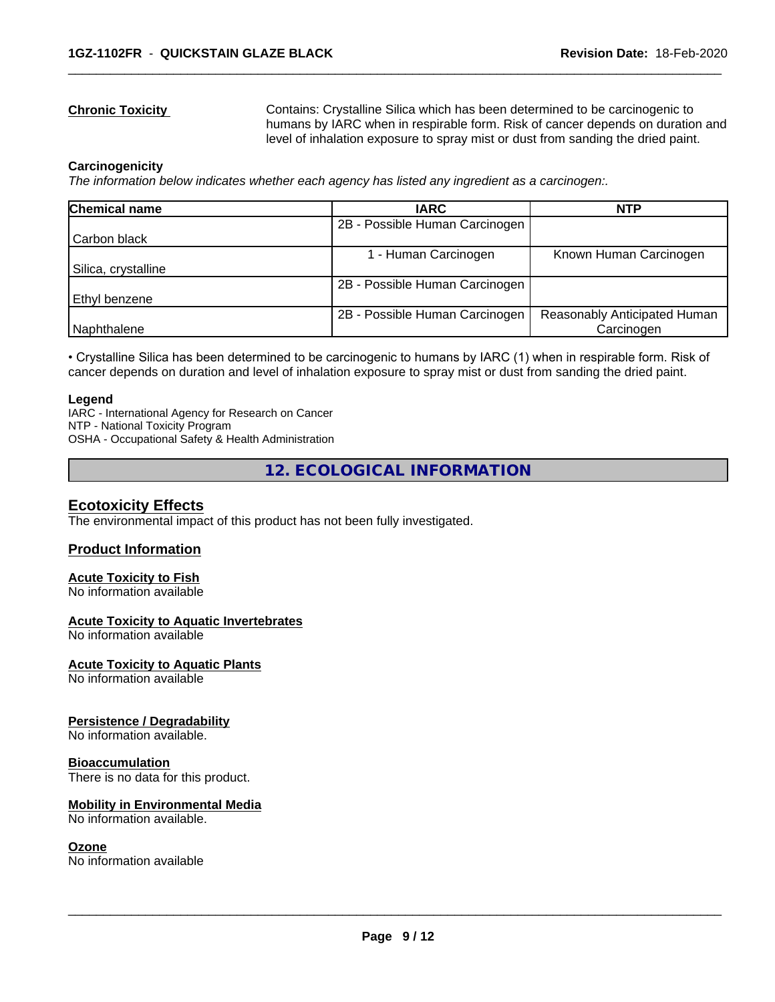**Chronic Toxicity** Contains: Crystalline Silica which has been determined to be carcinogenic to humans by IARC when in respirable form. Risk of cancer depends on duration and level of inhalation exposure to spray mist or dust from sanding the dried paint.

 $\overline{\phantom{a}}$  ,  $\overline{\phantom{a}}$  ,  $\overline{\phantom{a}}$  ,  $\overline{\phantom{a}}$  ,  $\overline{\phantom{a}}$  ,  $\overline{\phantom{a}}$  ,  $\overline{\phantom{a}}$  ,  $\overline{\phantom{a}}$  ,  $\overline{\phantom{a}}$  ,  $\overline{\phantom{a}}$  ,  $\overline{\phantom{a}}$  ,  $\overline{\phantom{a}}$  ,  $\overline{\phantom{a}}$  ,  $\overline{\phantom{a}}$  ,  $\overline{\phantom{a}}$  ,  $\overline{\phantom{a}}$ 

#### **Carcinogenicity**

*The information below indicateswhether each agency has listed any ingredient as a carcinogen:.*

| Chemical name        | <b>IARC</b>                    | <b>NTP</b>                   |
|----------------------|--------------------------------|------------------------------|
|                      | 2B - Possible Human Carcinogen |                              |
| Carbon black         |                                |                              |
|                      | - Human Carcinogen             | Known Human Carcinogen       |
| Silica, crystalline  |                                |                              |
|                      | 2B - Possible Human Carcinogen |                              |
| <b>Ethyl benzene</b> |                                |                              |
|                      | 2B - Possible Human Carcinogen | Reasonably Anticipated Human |
| Naphthalene          |                                | Carcinogen                   |

• Crystalline Silica has been determined to be carcinogenic to humans by IARC (1) when in respirable form. Risk of cancer depends on duration and level of inhalation exposure to spray mist or dust from sanding the dried paint.

#### **Legend**

IARC - International Agency for Research on Cancer NTP - National Toxicity Program OSHA - Occupational Safety & Health Administration

**12. ECOLOGICAL INFORMATION**

# **Ecotoxicity Effects**

The environmental impact of this product has not been fully investigated.

# **Product Information**

# **Acute Toxicity to Fish**

No information available

#### **Acute Toxicity to Aquatic Invertebrates**

No information available

#### **Acute Toxicity to Aquatic Plants**

No information available

#### **Persistence / Degradability**

No information available.

#### **Bioaccumulation**

There is no data for this product.

#### **Mobility in Environmental Media**

No information available.

#### **Ozone**

No information available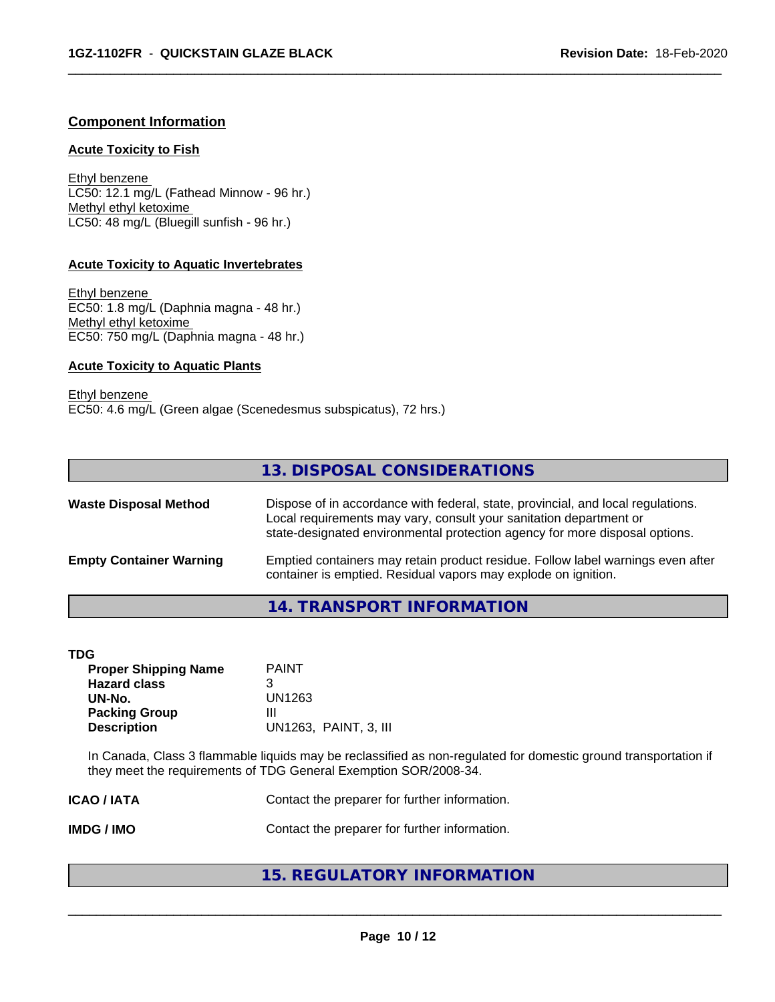# **Component Information**

#### **Acute Toxicity to Fish**

Ethyl benzene LC50: 12.1 mg/L (Fathead Minnow - 96 hr.) Methyl ethyl ketoxime LC50: 48 mg/L (Bluegill sunfish - 96 hr.)

## **Acute Toxicity to Aquatic Invertebrates**

Ethyl benzene EC50: 1.8 mg/L (Daphnia magna - 48 hr.) Methyl ethyl ketoxime EC50: 750 mg/L (Daphnia magna - 48 hr.)

## **Acute Toxicity to Aquatic Plants**

Ethyl benzene EC50: 4.6 mg/L (Green algae (Scenedesmus subspicatus), 72 hrs.)

# **13. DISPOSAL CONSIDERATIONS**

 $\overline{\phantom{a}}$  ,  $\overline{\phantom{a}}$  ,  $\overline{\phantom{a}}$  ,  $\overline{\phantom{a}}$  ,  $\overline{\phantom{a}}$  ,  $\overline{\phantom{a}}$  ,  $\overline{\phantom{a}}$  ,  $\overline{\phantom{a}}$  ,  $\overline{\phantom{a}}$  ,  $\overline{\phantom{a}}$  ,  $\overline{\phantom{a}}$  ,  $\overline{\phantom{a}}$  ,  $\overline{\phantom{a}}$  ,  $\overline{\phantom{a}}$  ,  $\overline{\phantom{a}}$  ,  $\overline{\phantom{a}}$ 

| <b>Waste Disposal Method</b>   | Dispose of in accordance with federal, state, provincial, and local regulations.<br>Local requirements may vary, consult your sanitation department or<br>state-designated environmental protection agency for more disposal options. |
|--------------------------------|---------------------------------------------------------------------------------------------------------------------------------------------------------------------------------------------------------------------------------------|
| <b>Empty Container Warning</b> | Emptied containers may retain product residue. Follow label warnings even after<br>container is emptied. Residual vapors may explode on ignition.                                                                                     |

# **14. TRANSPORT INFORMATION**

| ×<br>٠<br>۰,<br>v |
|-------------------|
|-------------------|

| TDG                         |                       |  |
|-----------------------------|-----------------------|--|
| <b>Proper Shipping Name</b> | <b>PAINT</b>          |  |
| <b>Hazard class</b>         | 3                     |  |
| UN-No.                      | UN1263                |  |
| <b>Packing Group</b>        | Ш                     |  |
| <b>Description</b>          | UN1263, PAINT, 3, III |  |
|                             |                       |  |

In Canada, Class 3 flammable liquids may be reclassified as non-regulated for domestic ground transportation if they meet the requirements of TDG General Exemption SOR/2008-34.

| ICAO / IATA | Contact the preparer for further information. |  |
|-------------|-----------------------------------------------|--|
|             |                                               |  |

**IMDG / IMO** Contact the preparer for further information.

# **15. REGULATORY INFORMATION**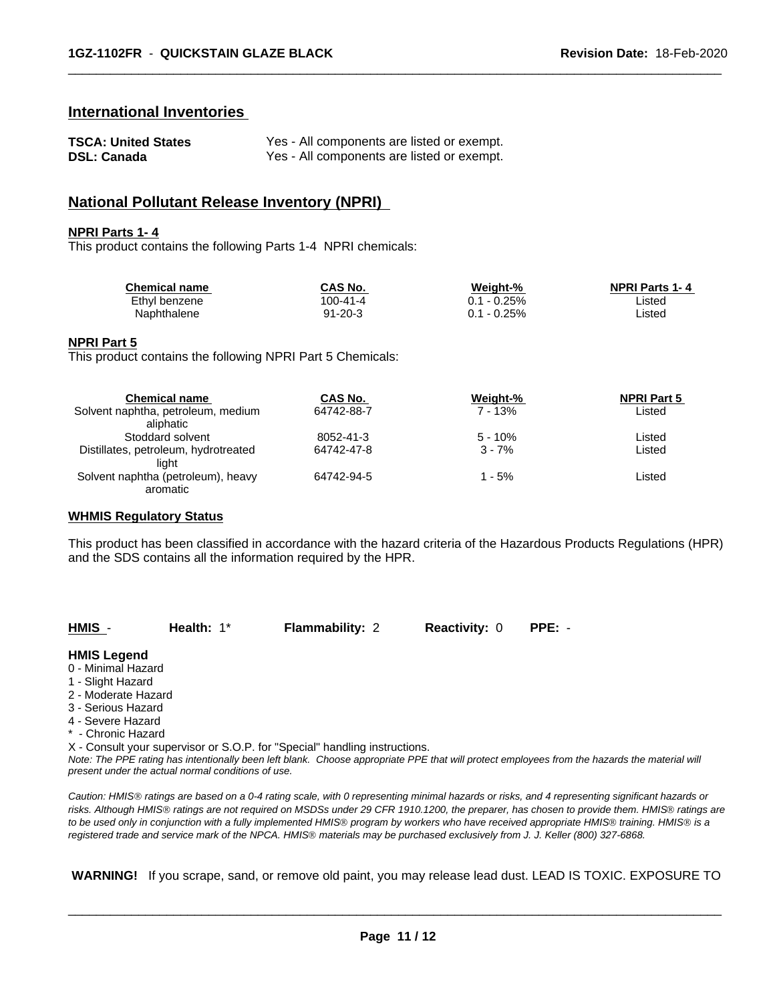# **International Inventories**

| <b>TSCA: United States</b> | Yes - All components are listed or exempt. |
|----------------------------|--------------------------------------------|
| <b>DSL: Canada</b>         | Yes - All components are listed or exempt. |

# **National Pollutant Release Inventory (NPRI)**

#### **NPRI Parts 1- 4**

This product contains the following Parts 1-4 NPRI chemicals:

| <b>Chemical name</b> | CAS No.       | Weight-%        | <b>NPRI Parts 1-4</b> |  |
|----------------------|---------------|-----------------|-----------------------|--|
| Ethyl benzene        | 100-41-4      | $-0.25%$        | Listed                |  |
| Naphthalene          | $91 - 20 - 3$ | $-0.25%$<br>ວ.1 | ∟isted                |  |

 $\overline{\phantom{a}}$  ,  $\overline{\phantom{a}}$  ,  $\overline{\phantom{a}}$  ,  $\overline{\phantom{a}}$  ,  $\overline{\phantom{a}}$  ,  $\overline{\phantom{a}}$  ,  $\overline{\phantom{a}}$  ,  $\overline{\phantom{a}}$  ,  $\overline{\phantom{a}}$  ,  $\overline{\phantom{a}}$  ,  $\overline{\phantom{a}}$  ,  $\overline{\phantom{a}}$  ,  $\overline{\phantom{a}}$  ,  $\overline{\phantom{a}}$  ,  $\overline{\phantom{a}}$  ,  $\overline{\phantom{a}}$ 

#### **NPRI Part 5**

This product contains the following NPRI Part 5 Chemicals:

| <b>Chemical name</b>                 | CAS No.    | Weight-%  | <b>NPRI Part 5</b> |  |
|--------------------------------------|------------|-----------|--------------------|--|
| Solvent naphtha, petroleum, medium   | 64742-88-7 | $7 - 13%$ | Listed             |  |
| aliphatic                            |            |           |                    |  |
| Stoddard solvent                     | 8052-41-3  | $5 - 10%$ | Listed             |  |
| Distillates, petroleum, hydrotreated | 64742-47-8 | $3 - 7%$  | Listed             |  |
| liaht                                |            |           |                    |  |
| Solvent naphtha (petroleum), heavy   | 64742-94-5 | 1 - 5%    | Listed             |  |
| aromatic                             |            |           |                    |  |

#### **WHMIS Regulatory Status**

This product has been classified in accordance with the hazard criteria of the Hazardous Products Regulations (HPR) and the SDS contains all the information required by the HPR.

| <b>HMIS</b>         | Health: $1^*$                                      | <b>Flammability: 2</b>                                                                                                                        | <b>Reactivity: 0</b> | $PPE: -$ |  |
|---------------------|----------------------------------------------------|-----------------------------------------------------------------------------------------------------------------------------------------------|----------------------|----------|--|
| <b>HMIS Legend</b>  |                                                    |                                                                                                                                               |                      |          |  |
| 0 - Minimal Hazard  |                                                    |                                                                                                                                               |                      |          |  |
| 1 - Slight Hazard   |                                                    |                                                                                                                                               |                      |          |  |
| 2 - Moderate Hazard |                                                    |                                                                                                                                               |                      |          |  |
| 3 - Serious Hazard  |                                                    |                                                                                                                                               |                      |          |  |
| 4 - Severe Hazard   |                                                    |                                                                                                                                               |                      |          |  |
| * - Chronic Hazard  |                                                    |                                                                                                                                               |                      |          |  |
|                     |                                                    | X - Consult your supervisor or S.O.P. for "Special" handling instructions.                                                                    |                      |          |  |
|                     | present under the actual normal conditions of use. | Note: The PPE rating has intentionally been left blank. Choose appropriate PPE that will protect employees from the hazards the material will |                      |          |  |

*Caution: HMISÒ ratings are based on a 0-4 rating scale, with 0 representing minimal hazards or risks, and 4 representing significant hazards or risks. Although HMISÒ ratings are not required on MSDSs under 29 CFR 1910.1200, the preparer, has chosen to provide them. HMISÒ ratings are to be used only in conjunction with a fully implemented HMISÒ program by workers who have received appropriate HMISÒ training. HMISÒ is a registered trade and service mark of the NPCA. HMISÒ materials may be purchased exclusively from J. J. Keller (800) 327-6868.*

 **WARNING!** If you scrape, sand, or remove old paint, you may release lead dust. LEAD IS TOXIC. EXPOSURE TO